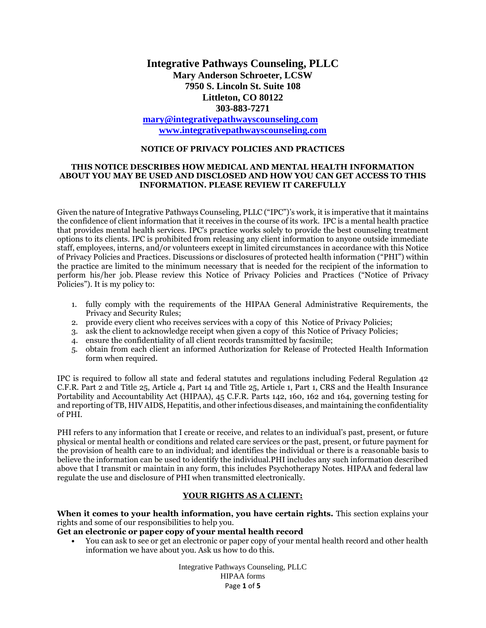# **Integrative Pathways Counseling, PLLC Mary Anderson Schroeter, LCSW 7950 S. Lincoln St. Suite 108 Littleton, CO 80122 303-883-7271**

**[mary@integrativepathwayscounseling.com](mailto:mary@integrativepathwayscounseling.com) [www.integrativepathwayscounseling.com](http://www.integrativepathwayscounseling.com/)**

#### **NOTICE OF PRIVACY POLICIES AND PRACTICES**

#### **THIS NOTICE DESCRIBES HOW MEDICAL AND MENTAL HEALTH INFORMATION ABOUT YOU MAY BE USED AND DISCLOSED AND HOW YOU CAN GET ACCESS TO THIS INFORMATION. PLEASE REVIEW IT CAREFULLY**

Given the nature of Integrative Pathways Counseling, PLLC ("IPC")'s work, it is imperative that it maintains the confidence of client information that it receives in the course of its work. IPC is a mental health practice that provides mental health services. IPC's practice works solely to provide the best counseling treatment options to its clients. IPC is prohibited from releasing any client information to anyone outside immediate staff, employees, interns, and/or volunteers except in limited circumstances in accordance with this Notice of Privacy Policies and Practices. Discussions or disclosures of protected health information ("PHI") within the practice are limited to the minimum necessary that is needed for the recipient of the information to perform his/her job. Please review this Notice of Privacy Policies and Practices ("Notice of Privacy Policies"). It is my policy to:

- 1. fully comply with the requirements of the HIPAA General Administrative Requirements, the Privacy and Security Rules;
- 2. provide every client who receives services with a copy of this Notice of Privacy Policies;
- 3. ask the client to acknowledge receipt when given a copy of this Notice of Privacy Policies;
- 4. ensure the confidentiality of all client records transmitted by facsimile;
- 5. obtain from each client an informed Authorization for Release of Protected Health Information form when required.

IPC is required to follow all state and federal statutes and regulations including Federal Regulation 42 C.F.R. Part 2 and Title 25, Article 4, Part 14 and Title 25, Article 1, Part 1, CRS and the Health Insurance Portability and Accountability Act (HIPAA), 45 C.F.R. Parts 142, 160, 162 and 164, governing testing for and reporting of TB, HIV AIDS, Hepatitis, and other infectious diseases, and maintaining the confidentiality of PHI.

PHI refers to any information that I create or receive, and relates to an individual's past, present, or future physical or mental health or conditions and related care services or the past, present, or future payment for the provision of health care to an individual; and identifies the individual or there is a reasonable basis to believe the information can be used to identify the individual.PHI includes any such information described above that I transmit or maintain in any form, this includes Psychotherapy Notes. HIPAA and federal law regulate the use and disclosure of PHI when transmitted electronically.

#### **YOUR RIGHTS AS A CLIENT:**

**When it comes to your health information, you have certain rights.** This section explains your rights and some of our responsibilities to help you.

### **Get an electronic or paper copy of your mental health record**

• You can ask to see or get an electronic or paper copy of your mental health record and other health information we have about you. Ask us how to do this.

> Integrative Pathways Counseling, PLLC HIPAA forms Page **1** of **5**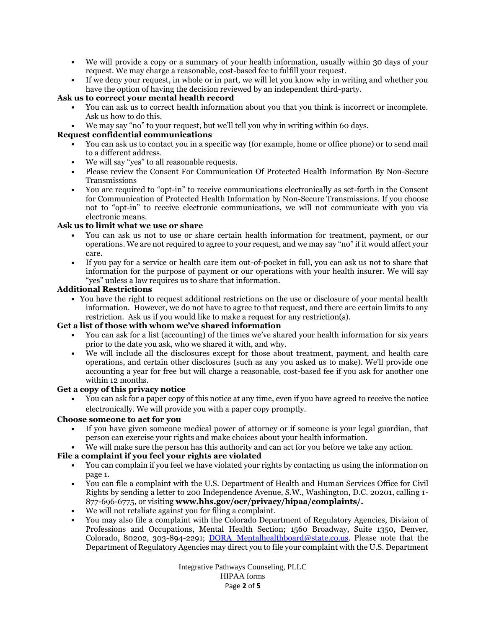- We will provide a copy or a summary of your health information, usually within 30 days of your request. We may charge a reasonable, cost-based fee to fulfill your request.
- If we deny your request, in whole or in part, we will let you know why in writing and whether you have the option of having the decision reviewed by an independent third-party.

## **Ask us to correct your mental health record**

- You can ask us to correct health information about you that you think is incorrect or incomplete. Ask us how to do this.
- We may say "no" to your request, but we'll tell you why in writing within 60 days.

## **Request confidential communications**

- You can ask us to contact you in a specific way (for example, home or office phone) or to send mail to a different address.
- We will say "yes" to all reasonable requests.
- Please review the Consent For Communication Of Protected Health Information By Non-Secure Transmissions
- You are required to "opt-in" to receive communications electronically as set-forth in the Consent for Communication of Protected Health Information by Non-Secure Transmissions. If you choose not to "opt-in" to receive electronic communications, we will not communicate with you via electronic means.

## **Ask us to limit what we use or share**

- You can ask us not to use or share certain health information for treatment, payment, or our operations. We are not required to agree to your request, and we may say "no" if it would affect your care.
- If you pay for a service or health care item out-of-pocket in full, you can ask us not to share that information for the purpose of payment or our operations with your health insurer. We will say "yes" unless a law requires us to share that information.

### **Additional Restrictions**

• You have the right to request additional restrictions on the use or disclosure of your mental health information. However, we do not have to agree to that request, and there are certain limits to any restriction. Ask us if you would like to make a request for any restriction(s).

### **Get a list of those with whom we've shared information**

- You can ask for a list (accounting) of the times we've shared your health information for six years prior to the date you ask, who we shared it with, and why.
- We will include all the disclosures except for those about treatment, payment, and health care operations, and certain other disclosures (such as any you asked us to make). We'll provide one accounting a year for free but will charge a reasonable, cost-based fee if you ask for another one within 12 months.

### **Get a copy of this privacy notice**

• You can ask for a paper copy of this notice at any time, even if you have agreed to receive the notice electronically. We will provide you with a paper copy promptly.

### **Choose someone to act for you**

• If you have given someone medical power of attorney or if someone is your legal guardian, that person can exercise your rights and make choices about your health information.

# • We will make sure the person has this authority and can act for you before we take any action.

# **File a complaint if you feel your rights are violated**

- You can complain if you feel we have violated your rights by contacting us using the information on page 1.
- You can file a complaint with the U.S. Department of Health and Human Services Office for Civil Rights by sending a letter to 200 Independence Avenue, S.W., Washington, D.C. 20201, calling 1- 877-696-6775, or visiting **www.hhs.gov/ocr/privacy/hipaa/complaints/.**
- We will not retaliate against you for filing a complaint.
- You may also file a complaint with the Colorado Department of Regulatory Agencies, Division of Professions and Occupations, Mental Health Section; 1560 Broadway, Suite 1350, Denver, Colorado, 80202, 303-894-2291; DORA Mentalhealthboard@state.co.us. Please note that the Department of Regulatory Agencies may direct you to file your complaint with the U.S. Department

Integrative Pathways Counseling, PLLC HIPAA forms Page **2** of **5**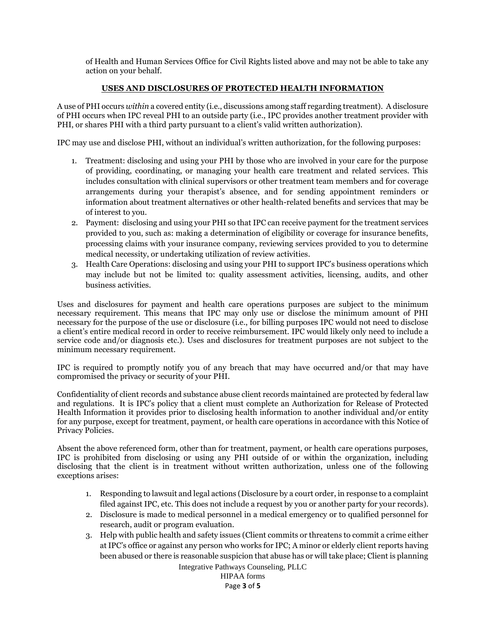of Health and Human Services Office for Civil Rights listed above and may not be able to take any action on your behalf.

## **USES AND DISCLOSURES OF PROTECTED HEALTH INFORMATION**

A use of PHI occurs *within* a covered entity (i.e., discussions among staff regarding treatment). A disclosure of PHI occurs when IPC reveal PHI to an outside party (i.e., IPC provides another treatment provider with PHI, or shares PHI with a third party pursuant to a client's valid written authorization).

IPC may use and disclose PHI, without an individual's written authorization, for the following purposes:

- 1. Treatment: disclosing and using your PHI by those who are involved in your care for the purpose of providing, coordinating, or managing your health care treatment and related services. This includes consultation with clinical supervisors or other treatment team members and for coverage arrangements during your therapist's absence, and for sending appointment reminders or information about treatment alternatives or other health-related benefits and services that may be of interest to you.
- 2. Payment: disclosing and using your PHI so that IPC can receive payment for the treatment services provided to you, such as: making a determination of eligibility or coverage for insurance benefits, processing claims with your insurance company, reviewing services provided to you to determine medical necessity, or undertaking utilization of review activities.
- 3. Health Care Operations: disclosing and using your PHI to support IPC's business operations which may include but not be limited to: quality assessment activities, licensing, audits, and other business activities.

Uses and disclosures for payment and health care operations purposes are subject to the minimum necessary requirement. This means that IPC may only use or disclose the minimum amount of PHI necessary for the purpose of the use or disclosure (i.e., for billing purposes IPC would not need to disclose a client's entire medical record in order to receive reimbursement. IPC would likely only need to include a service code and/or diagnosis etc.). Uses and disclosures for treatment purposes are not subject to the minimum necessary requirement.

IPC is required to promptly notify you of any breach that may have occurred and/or that may have compromised the privacy or security of your PHI.

Confidentiality of client records and substance abuse client records maintained are protected by federal law and regulations. It is IPC's policy that a client must complete an Authorization for Release of Protected Health Information it provides prior to disclosing health information to another individual and/or entity for any purpose, except for treatment, payment, or health care operations in accordance with this Notice of Privacy Policies.

Absent the above referenced form, other than for treatment, payment, or health care operations purposes, IPC is prohibited from disclosing or using any PHI outside of or within the organization, including disclosing that the client is in treatment without written authorization, unless one of the following exceptions arises:

- 1. Responding to lawsuit and legal actions (Disclosure by a court order, in response to a complaint filed against IPC, etc. This does not include a request by you or another party for your records).
- 2. Disclosure is made to medical personnel in a medical emergency or to qualified personnel for research, audit or program evaluation.
- 3. Help with public health and safety issues (Client commits or threatens to commit a crime either at IPC's office or against any person who works for IPC; A minor or elderly client reports having been abused or there is reasonable suspicion that abuse has or will take place; Client is planning

Integrative Pathways Counseling, PLLC HIPAA forms Page **3** of **5**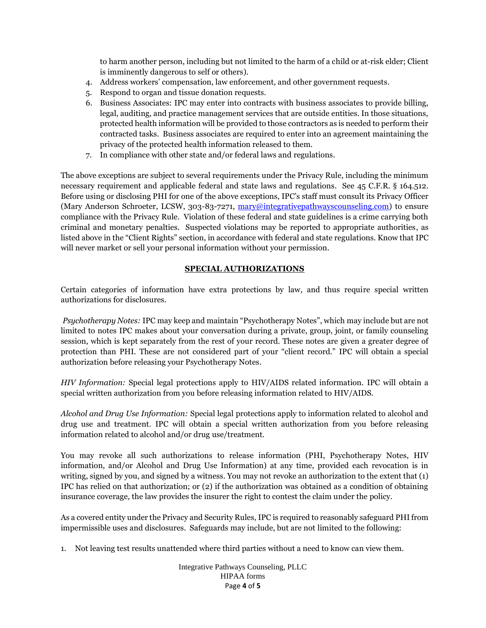to harm another person, including but not limited to the harm of a child or at-risk elder; Client is imminently dangerous to self or others).

- 4. Address workers' compensation, law enforcement, and other government requests.
- 5. Respond to organ and tissue donation requests.
- 6. Business Associates: IPC may enter into contracts with business associates to provide billing, legal, auditing, and practice management services that are outside entities. In those situations, protected health information will be provided to those contractors as is needed to perform their contracted tasks. Business associates are required to enter into an agreement maintaining the privacy of the protected health information released to them.
- 7. In compliance with other state and/or federal laws and regulations.

The above exceptions are subject to several requirements under the Privacy Rule, including the minimum necessary requirement and applicable federal and state laws and regulations. See 45 C.F.R. § 164.512. Before using or disclosing PHI for one of the above exceptions, IPC's staff must consult its Privacy Officer (Mary Anderson Schroeter, LCSW, 303-83-7271, [mary@integrativepathwayscounseling.com\)](mailto:mary@integrativepathwayscounseling.com) to ensure compliance with the Privacy Rule. Violation of these federal and state guidelines is a crime carrying both criminal and monetary penalties. Suspected violations may be reported to appropriate authorities, as listed above in the "Client Rights" section, in accordance with federal and state regulations. Know that IPC will never market or sell your personal information without your permission.

## **SPECIAL AUTHORIZATIONS**

Certain categories of information have extra protections by law, and thus require special written authorizations for disclosures.

*Psychotherapy Notes:* IPC may keep and maintain "Psychotherapy Notes", which may include but are not limited to notes IPC makes about your conversation during a private, group, joint, or family counseling session, which is kept separately from the rest of your record. These notes are given a greater degree of protection than PHI. These are not considered part of your "client record." IPC will obtain a special authorization before releasing your Psychotherapy Notes.

*HIV Information:* Special legal protections apply to HIV/AIDS related information. IPC will obtain a special written authorization from you before releasing information related to HIV/AIDS.

*Alcohol and Drug Use Information:* Special legal protections apply to information related to alcohol and drug use and treatment. IPC will obtain a special written authorization from you before releasing information related to alcohol and/or drug use/treatment.

You may revoke all such authorizations to release information (PHI, Psychotherapy Notes, HIV information, and/or Alcohol and Drug Use Information) at any time, provided each revocation is in writing, signed by you, and signed by a witness. You may not revoke an authorization to the extent that (1) IPC has relied on that authorization; or (2) if the authorization was obtained as a condition of obtaining insurance coverage, the law provides the insurer the right to contest the claim under the policy.

As a covered entity under the Privacy and Security Rules, IPC is required to reasonably safeguard PHI from impermissible uses and disclosures. Safeguards may include, but are not limited to the following:

1. Not leaving test results unattended where third parties without a need to know can view them.

Integrative Pathways Counseling, PLLC HIPAA forms Page **4** of **5**